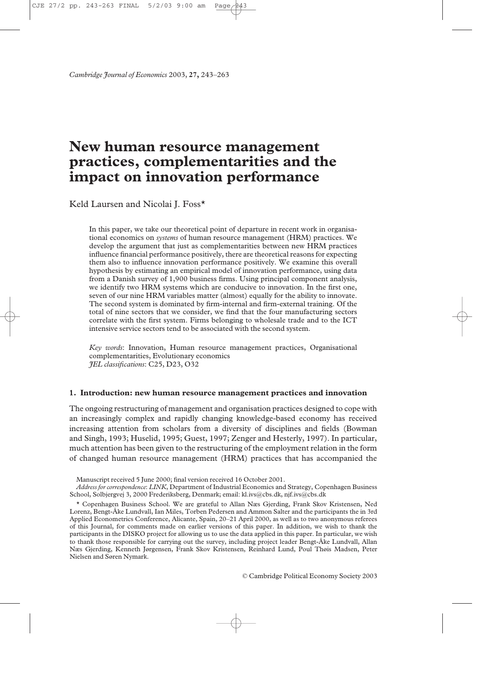# **New human resource management practices, complementarities and the impact on innovation performance**

Keld Laursen and Nicolai J. Foss\*

In this paper, we take our theoretical point of departure in recent work in organisational economics on *systems* of human resource management (HRM) practices. We develop the argument that just as complementarities between new HRM practices influence financial performance positively, there are theoretical reasons for expecting them also to influence innovation performance positively. We examine this overall hypothesis by estimating an empirical model of innovation performance, using data from a Danish survey of 1,900 business firms. Using principal component analysis, we identify two HRM systems which are conducive to innovation. In the first one, seven of our nine HRM variables matter (almost) equally for the ability to innovate. The second system is dominated by firm-internal and firm-external training. Of the total of nine sectors that we consider, we find that the four manufacturing sectors correlate with the first system. Firms belonging to wholesale trade and to the ICT intensive service sectors tend to be associated with the second system.

*Key words*: Innovation, Human resource management practices, Organisational complementarities, Evolutionary economics *JEL classifications*: C25, D23, O32

#### **1. Introduction: new human resource management practices and innovation**

The ongoing restructuring of management and organisation practices designed to cope with an increasingly complex and rapidly changing knowledge-based economy has received increasing attention from scholars from a diversity of disciplines and fields (Bowman and Singh, 1993; Huselid, 1995; Guest, 1997; Zenger and Hesterly, 1997). In particular, much attention has been given to the restructuring of the employment relation in the form of changed human resource management (HRM) practices that has accompanied the

Manuscript received 5 June 2000; final version received 16 October 2001.

*Address for correspondence*: *LINK*, Department of Industrial Economics and Strategy, Copenhagen Business School, Solbjergvej 3, 2000 Frederiksberg, Denmark; email: kl.ivs@cbs.dk, njf.ivs@cbs.dk

<sup>\*</sup> Copenhagen Business School. We are grateful to Allan Næs Gjerding, Frank Skov Kristensen, Ned Lorenz, Bengt-Åke Lundvall, Ian Miles, Torben Pedersen and Ammon Salter and the participants the in 3rd Applied Econometrics Conference, Alicante, Spain, 20–21 April 2000, as well as to two anonymous referees of this Journal, for comments made on earlier versions of this paper. In addition, we wish to thank the participants in the DISKO project for allowing us to use the data applied in this paper. In particular, we wish to thank those responsible for carrying out the survey, including project leader Bengt-Åke Lundvall, Allan Næs Gjerding, Kenneth Jørgensen, Frank Skov Kristensen, Reinhard Lund, Poul Thøis Madsen, Peter Nielsen and Søren Nymark.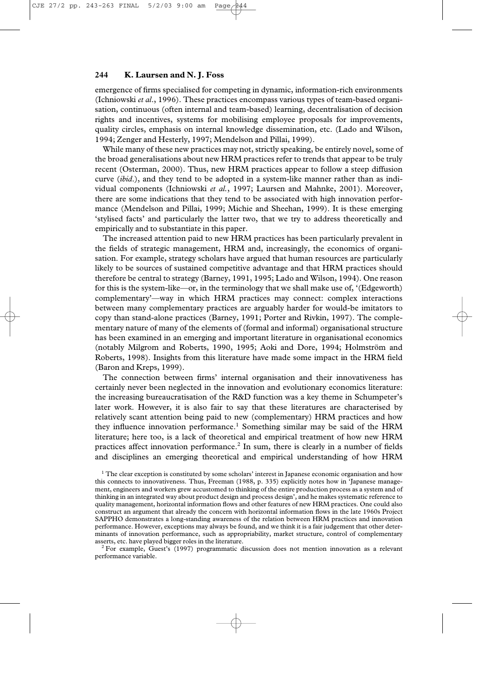emergence of firms specialised for competing in dynamic, information-rich environments (Ichniowski *et al*., 1996). These practices encompass various types of team-based organisation, continuous (often internal and team-based) learning, decentralisation of decision rights and incentives, systems for mobilising employee proposals for improvements, quality circles, emphasis on internal knowledge dissemination, etc. (Lado and Wilson, 1994; Zenger and Hesterly, 1997; Mendelson and Pillai, 1999).

While many of these new practices may not, strictly speaking, be entirely novel, some of the broad generalisations about new HRM practices refer to trends that appear to be truly recent (Osterman, 2000). Thus, new HRM practices appear to follow a steep diffusion curve (*ibid*.), and they tend to be adopted in a system-like manner rather than as individual components (Ichniowski *et al.*, 1997; Laursen and Mahnke, 2001). Moreover, there are some indications that they tend to be associated with high innovation performance (Mendelson and Pillai, 1999; Michie and Sheehan, 1999). It is these emerging 'stylised facts' and particularly the latter two, that we try to address theoretically and empirically and to substantiate in this paper.

The increased attention paid to new HRM practices has been particularly prevalent in the fields of strategic management, HRM and, increasingly, the economics of organisation. For example, strategy scholars have argued that human resources are particularly likely to be sources of sustained competitive advantage and that HRM practices should therefore be central to strategy (Barney, 1991, 1995; Lado and Wilson, 1994). One reason for this is the system-like—or, in the terminology that we shall make use of, '(Edgeworth) complementary'—way in which HRM practices may connect: complex interactions between many complementary practices are arguably harder for would-be imitators to copy than stand-alone practices (Barney, 1991; Porter and Rivkin, 1997). The complementary nature of many of the elements of (formal and informal) organisational structure has been examined in an emerging and important literature in organisational economics (notably Milgrom and Roberts, 1990, 1995; Aoki and Dore, 1994; Holmström and Roberts, 1998). Insights from this literature have made some impact in the HRM field (Baron and Kreps, 1999).

The connection between firms' internal organisation and their innovativeness has certainly never been neglected in the innovation and evolutionary economics literature: the increasing bureaucratisation of the R&D function was a key theme in Schumpeter's later work. However, it is also fair to say that these literatures are characterised by relatively scant attention being paid to new (complementary) HRM practices and how they influence innovation performance.<sup>1</sup> Something similar may be said of the HRM literature; here too, is a lack of theoretical and empirical treatment of how new HRM practices affect innovation performance.<sup>2</sup> In sum, there is clearly in a number of fields and disciplines an emerging theoretical and empirical understanding of how HRM

 $<sup>1</sup>$  The clear exception is constituted by some scholars' interest in Japanese economic organisation and how</sup> this connects to innovativeness. Thus, Freeman (1988, p. 335) explicitly notes how in 'Japanese management, engineers and workers grew accustomed to thinking of the entire production process as a system and of thinking in an integrated way about product design and process design', and he makes systematic reference to quality management, horizontal information flows and other features of new HRM practices. One could also construct an argument that already the concern with horizontal information flows in the late 1960s Project SAPPHO demonstrates a long-standing awareness of the relation between HRM practices and innovation performance. However, exceptions may always be found, and we think it is a fair judgement that other determinants of innovation performance, such as appropriability, market structure, control of complementary asserts, etc. have played bigger roles in the literature.<br><sup>2</sup> For example, Guest's (1997) programmatic discussion does not mention innovation as a relevant

performance variable.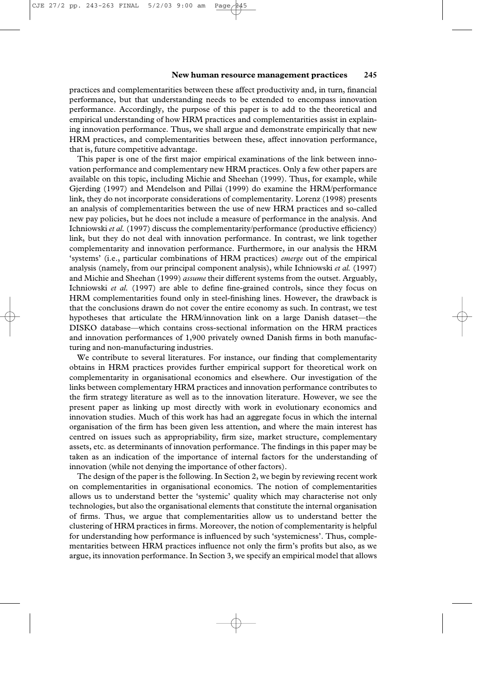practices and complementarities between these affect productivity and, in turn, financial performance, but that understanding needs to be extended to encompass innovation performance. Accordingly, the purpose of this paper is to add to the theoretical and empirical understanding of how HRM practices and complementarities assist in explaining innovation performance. Thus, we shall argue and demonstrate empirically that new HRM practices, and complementarities between these, affect innovation performance, that is, future competitive advantage.

This paper is one of the first major empirical examinations of the link between innovation performance and complementary new HRM practices. Only a few other papers are available on this topic, including Michie and Sheehan (1999). Thus, for example, while Gjerding (1997) and Mendelson and Pillai (1999) do examine the HRM/performance link, they do not incorporate considerations of complementarity. Lorenz (1998) presents an analysis of complementarities between the use of new HRM practices and so-called new pay policies, but he does not include a measure of performance in the analysis. And Ichniowski *et al.* (1997) discuss the complementarity/performance (productive efficiency) link, but they do not deal with innovation performance. In contrast, we link together complementarity and innovation performance. Furthermore, in our analysis the HRM 'systems' (i.e., particular combinations of HRM practices) *emerge* out of the empirical analysis (namely, from our principal component analysis), while Ichniowski *et al.* (1997) and Michie and Sheehan (1999) *assume* their different systems from the outset. Arguably, Ichniowski *et al.* (1997) are able to define fine-grained controls, since they focus on HRM complementarities found only in steel-finishing lines. However, the drawback is that the conclusions drawn do not cover the entire economy as such. In contrast, we test hypotheses that articulate the HRM/innovation link on a large Danish dataset—the DISKO database—which contains cross-sectional information on the HRM practices and innovation performances of 1,900 privately owned Danish firms in both manufacturing and non-manufacturing industries.

We contribute to several literatures. For instance, our finding that complementarity obtains in HRM practices provides further empirical support for theoretical work on complementarity in organisational economics and elsewhere. Our investigation of the links between complementary HRM practices and innovation performance contributes to the firm strategy literature as well as to the innovation literature. However, we see the present paper as linking up most directly with work in evolutionary economics and innovation studies. Much of this work has had an aggregate focus in which the internal organisation of the firm has been given less attention, and where the main interest has centred on issues such as appropriability, firm size, market structure, complementary assets, etc. as determinants of innovation performance. The findings in this paper may be taken as an indication of the importance of internal factors for the understanding of innovation (while not denying the importance of other factors).

The design of the paper is the following. In Section 2, we begin by reviewing recent work on complementarities in organisational economics. The notion of complementarities allows us to understand better the 'systemic' quality which may characterise not only technologies, but also the organisational elements that constitute the internal organisation of firms. Thus, we argue that complementarities allow us to understand better the clustering of HRM practices in firms. Moreover, the notion of complementarity is helpful for understanding how performance is influenced by such 'systemicness'. Thus, complementarities between HRM practices influence not only the firm's profits but also, as we argue, its innovation performance. In Section 3, we specify an empirical model that allows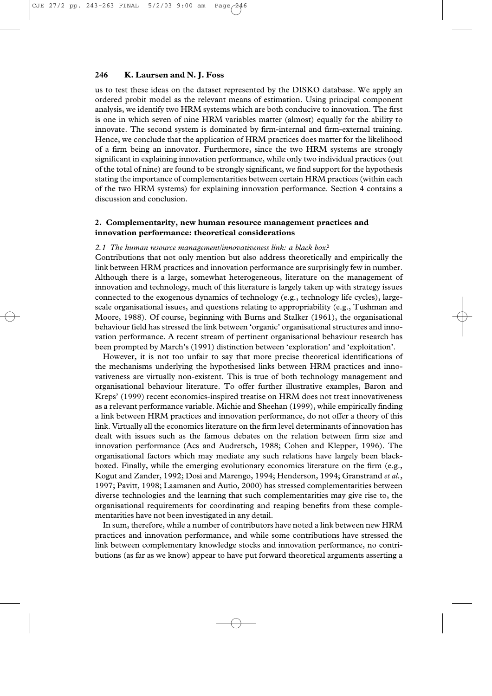us to test these ideas on the dataset represented by the DISKO database. We apply an ordered probit model as the relevant means of estimation. Using principal component analysis, we identify two HRM systems which are both conducive to innovation. The first is one in which seven of nine HRM variables matter (almost) equally for the ability to innovate. The second system is dominated by firm-internal and firm-external training. Hence, we conclude that the application of HRM practices does matter for the likelihood of a firm being an innovator. Furthermore, since the two HRM systems are strongly significant in explaining innovation performance, while only two individual practices (out of the total of nine) are found to be strongly significant, we find support for the hypothesis stating the importance of complementarities between certain HRM practices (within each of the two HRM systems) for explaining innovation performance. Section 4 contains a discussion and conclusion.

# **2. Complementarity, new human resource management practices and innovation performance: theoretical considerations**

# *2.1 The human resource management/innovativeness link: a black box?*

Contributions that not only mention but also address theoretically and empirically the link between HRM practices and innovation performance are surprisingly few in number. Although there is a large, somewhat heterogeneous, literature on the management of innovation and technology, much of this literature is largely taken up with strategy issues connected to the exogenous dynamics of technology (e.g., technology life cycles), largescale organisational issues, and questions relating to appropriability (e.g., Tushman and Moore, 1988). Of course, beginning with Burns and Stalker (1961), the organisational behaviour field has stressed the link between 'organic' organisational structures and innovation performance. A recent stream of pertinent organisational behaviour research has been prompted by March's (1991) distinction between 'exploration' and 'exploitation'.

However, it is not too unfair to say that more precise theoretical identifications of the mechanisms underlying the hypothesised links between HRM practices and innovativeness are virtually non-existent. This is true of both technology management and organisational behaviour literature. To offer further illustrative examples, Baron and Kreps' (1999) recent economics-inspired treatise on HRM does not treat innovativeness as a relevant performance variable. Michie and Sheehan (1999), while empirically finding a link between HRM practices and innovation performance, do not offer a theory of this link. Virtually all the economics literature on the firm level determinants of innovation has dealt with issues such as the famous debates on the relation between firm size and innovation performance (Acs and Audretsch, 1988; Cohen and Klepper, 1996). The organisational factors which may mediate any such relations have largely been blackboxed. Finally, while the emerging evolutionary economics literature on the firm (e.g., Kogut and Zander, 1992; Dosi and Marengo, 1994; Henderson, 1994; Granstrand *et al.*, 1997; Pavitt, 1998; Laamanen and Autio, 2000) has stressed complementarities between diverse technologies and the learning that such complementarities may give rise to, the organisational requirements for coordinating and reaping benefits from these complementarities have not been investigated in any detail.

In sum, therefore, while a number of contributors have noted a link between new HRM practices and innovation performance, and while some contributions have stressed the link between complementary knowledge stocks and innovation performance, no contributions (as far as we know) appear to have put forward theoretical arguments asserting a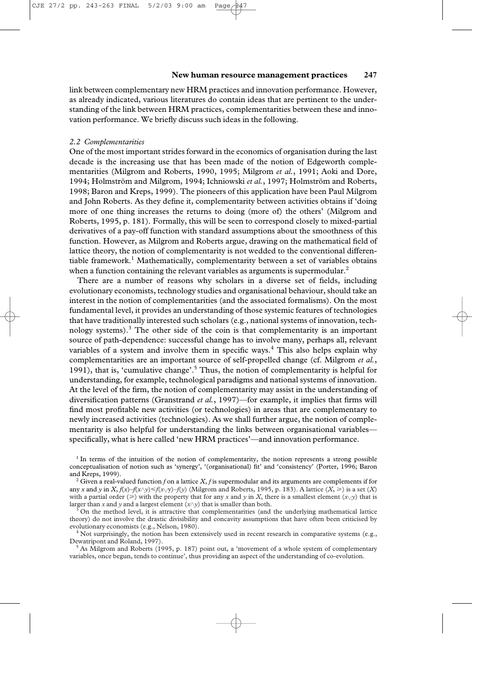link between complementary new HRM practices and innovation performance. However, as already indicated, various literatures do contain ideas that are pertinent to the understanding of the link between HRM practices, complementarities between these and innovation performance. We briefly discuss such ideas in the following.

#### *2.2 Complementarities*

One of the most important strides forward in the economics of organisation during the last decade is the increasing use that has been made of the notion of Edgeworth complementarities (Milgrom and Roberts, 1990, 1995; Milgrom *et al.*, 1991; Aoki and Dore, 1994; Holmström and Milgrom, 1994; Ichniowski *et al.*, 1997; Holmström and Roberts, 1998; Baron and Kreps, 1999). The pioneers of this application have been Paul Milgrom and John Roberts. As they define it, complementarity between activities obtains if 'doing more of one thing increases the returns to doing (more of) the others' (Milgrom and Roberts, 1995, p. 181). Formally, this will be seen to correspond closely to mixed-partial derivatives of a pay-off function with standard assumptions about the smoothness of this function. However, as Milgrom and Roberts argue, drawing on the mathematical field of lattice theory, the notion of complementarity is not wedded to the conventional differentiable framework.<sup>1</sup> Mathematically, complementarity between a set of variables obtains when a function containing the relevant variables as arguments is supermodular.<sup>2</sup>

There are a number of reasons why scholars in a diverse set of fields, including evolutionary economists, technology studies and organisational behaviour, should take an interest in the notion of complementarities (and the associated formalisms). On the most fundamental level, it provides an understanding of those systemic features of technologies that have traditionally interested such scholars (e.g., national systems of innovation, technology systems).<sup>3</sup> The other side of the coin is that complementarity is an important source of path-dependence: successful change has to involve many, perhaps all, relevant variables of a system and involve them in specific ways.<sup>4</sup> This also helps explain why complementarities are an important source of self-propelled change (cf. Milgrom *et al.*, 1991), that is, 'cumulative change'.<sup>5</sup> Thus, the notion of complementarity is helpful for understanding, for example, technological paradigms and national systems of innovation. At the level of the firm, the notion of complementarity may assist in the understanding of diversification patterns (Granstrand *et al.*, 1997)—for example, it implies that firms will find most profitable new activities (or technologies) in areas that are complementary to newly increased activities (technologies). As we shall further argue, the notion of complementarity is also helpful for understanding the links between organisational variables specifically, what is here called 'new HRM practices'—and innovation performance.

 $1$ In terms of the intuition of the notion of complementarity, the notion represents a strong possible conceptualisation of notion such as 'synergy', '(organisational) fit' and 'consistency' (Porter, 1996; Baron

evolutionary economists (e.g., Nelson, 1980).<br>
<sup>4</sup> Not surprisingly, the notion has been extensively used in recent research in comparative systems (e.g., Dewatripont and Roland, 1997).

 $5$  As Milgrom and Roberts (1995, p. 187) point out, a 'movement of a whole system of complementary variables, once begun, tends to continue', thus providing an aspect of the understanding of co-evolution.

<sup>&</sup>lt;sup>2</sup> Given a real-valued function  $f$  on a lattice  $X$ ,  $f$  is supermodular and its arguments are complements if for any *x* and *y* in *X*,  $f(x) - f(x \wedge y) \leq f(x \vee y) - f(y)$  (Milgrom and Roberts, 1995, p. 183). A lattice  $(X, \geq)$  is a set  $(X)$ with a partial order ( $\geq$ ) with the property that for any *x* and *y* in *X*, there is a smallest element (*x*<sub>*y*</sub>) that is larger than *x* and *y* and a largest element  $(x \land y)$  that is smaller than both.

On the method level, it is attractive that complementarities (and the underlying mathematical lattice theory) do not involve the drastic divisibility and concavity assumptions that have often been criticised by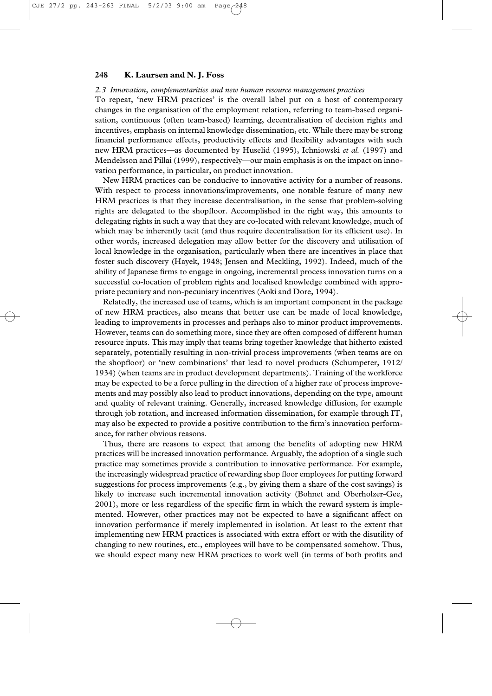# *2.3 Innovation, complementarities and new human resource management practices*

To repeat, 'new HRM practices' is the overall label put on a host of contemporary changes in the organisation of the employment relation, referring to team-based organisation, continuous (often team-based) learning, decentralisation of decision rights and incentives, emphasis on internal knowledge dissemination, etc. While there may be strong financial performance effects, productivity effects and flexibility advantages with such new HRM practices—as documented by Huselid (1995), Ichniowski *et al.* (1997) and Mendelsson and Pillai (1999), respectively—our main emphasis is on the impact on innovation performance, in particular, on product innovation.

New HRM practices can be conducive to innovative activity for a number of reasons. With respect to process innovations/improvements, one notable feature of many new HRM practices is that they increase decentralisation, in the sense that problem-solving rights are delegated to the shopfloor. Accomplished in the right way, this amounts to delegating rights in such a way that they are co-located with relevant knowledge, much of which may be inherently tacit (and thus require decentralisation for its efficient use). In other words, increased delegation may allow better for the discovery and utilisation of local knowledge in the organisation, particularly when there are incentives in place that foster such discovery (Hayek, 1948; Jensen and Meckling, 1992). Indeed, much of the ability of Japanese firms to engage in ongoing, incremental process innovation turns on a successful co-location of problem rights and localised knowledge combined with appropriate pecuniary and non-pecuniary incentives (Aoki and Dore, 1994).

Relatedly, the increased use of teams, which is an important component in the package of new HRM practices, also means that better use can be made of local knowledge, leading to improvements in processes and perhaps also to minor product improvements. However, teams can do something more, since they are often composed of different human resource inputs. This may imply that teams bring together knowledge that hitherto existed separately, potentially resulting in non-trivial process improvements (when teams are on the shopfloor) or 'new combinations' that lead to novel products (Schumpeter, 1912/ 1934) (when teams are in product development departments). Training of the workforce may be expected to be a force pulling in the direction of a higher rate of process improvements and may possibly also lead to product innovations, depending on the type, amount and quality of relevant training. Generally, increased knowledge diffusion, for example through job rotation, and increased information dissemination, for example through IT, may also be expected to provide a positive contribution to the firm's innovation performance, for rather obvious reasons.

Thus, there are reasons to expect that among the benefits of adopting new HRM practices will be increased innovation performance. Arguably, the adoption of a single such practice may sometimes provide a contribution to innovative performance. For example, the increasingly widespread practice of rewarding shop floor employees for putting forward suggestions for process improvements (e.g., by giving them a share of the cost savings) is likely to increase such incremental innovation activity (Bohnet and Oberholzer-Gee, 2001), more or less regardless of the specific firm in which the reward system is implemented. However, other practices may not be expected to have a significant affect on innovation performance if merely implemented in isolation. At least to the extent that implementing new HRM practices is associated with extra effort or with the disutility of changing to new routines, etc., employees will have to be compensated somehow. Thus, we should expect many new HRM practices to work well (in terms of both profits and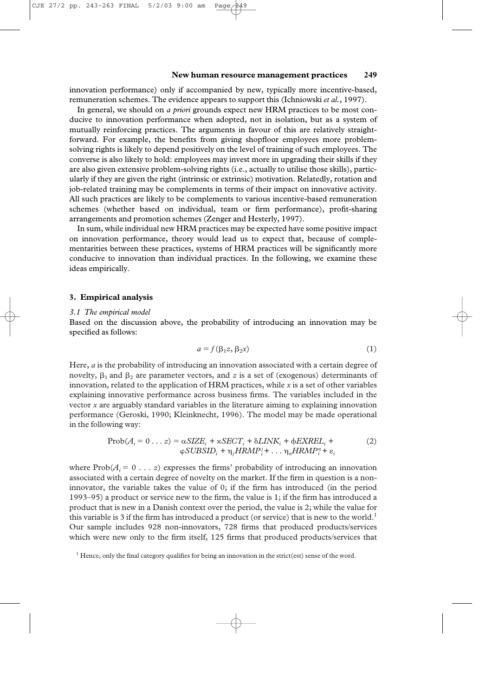innovation performance) only if accompanied by new, typically more incentive-based, remuneration schemes. The evidence appears to support this (Ichniowski *et al.*, 1997).

In general, we should on *a priori* grounds expect new HRM practices to be most conducive to innovation performance when adopted, not in isolation, but as a system of mutually reinforcing practices. The arguments in favour of this are relatively straightforward. For example, the benefits from giving shopfloor employees more problemsolving rights is likely to depend positively on the level of training of such employees. The converse is also likely to hold: employees may invest more in upgrading their skills if they are also given extensive problem-solving rights (i.e., actually to utilise those skills), particularly if they are given the right (intrinsic or extrinsic) motivation. Relatedly, rotation and job-related training may be complements in terms of their impact on innovative activity. All such practices are likely to be complements to various incentive-based remuneration schemes (whether based on individual, team or firm performance), profit-sharing arrangements and promotion schemes (Zenger and Hesterly, 1997).

In sum, while individual new HRM practices may be expected have some positive impact on innovation performance, theory would lead us to expect that, because of complementarities between these practices, systems of HRM practices will be significantly more conducive to innovation than individual practices. In the following, we examine these ideas empirically.

# **3. Empirical analysis**

#### *3.1 The empirical model*

Based on the discussion above, the probability of introducing an innovation may be specified as follows:

$$
a = f(\beta_1 z, \beta_2 x) \tag{1}
$$

Here, *a* is the probability of introducing an innovation associated with a certain degree of novelty,  $\beta_1$  and  $\beta_2$  are parameter vectors, and *z* is a set of (exogenous) determinants of innovation, related to the application of HRM practices, while *x* is a set of other variables explaining innovative performance across business firms. The variables included in the vector *x* are arguably standard variables in the literature aiming to explaining innovation performance (Geroski, 1990; Kleinknecht, 1996). The model may be made operational in the following way:

$$
Prob(A_i = 0...z) = \alpha SIZE_i + \alpha SECT_i + \delta LINK_i + \phi EXREL_i + \varphi SUBSID_i + \eta_j HRMP_i^i + ... \eta_n HRMP_i^n + \varepsilon_i
$$
\n(2)

where  $Prob(A_i = 0 \ldots z)$  expresses the firms' probability of introducing an innovation associated with a certain degree of novelty on the market. If the firm in question is a noninnovator, the variable takes the value of 0; if the firm has introduced (in the period 1993–95) a product or service new to the firm, the value is 1; if the firm has introduced a product that is new in a Danish context over the period, the value is 2; while the value for this variable is 3 if the firm has introduced a product (or service) that is new to the world.<sup>1</sup> Our sample includes 928 non-innovators, 728 firms that produced products/services which were new only to the firm itself, 125 firms that produced products/services that

<sup>&</sup>lt;sup>1</sup> Hence, only the final category qualifies for being an innovation in the strict(est) sense of the word.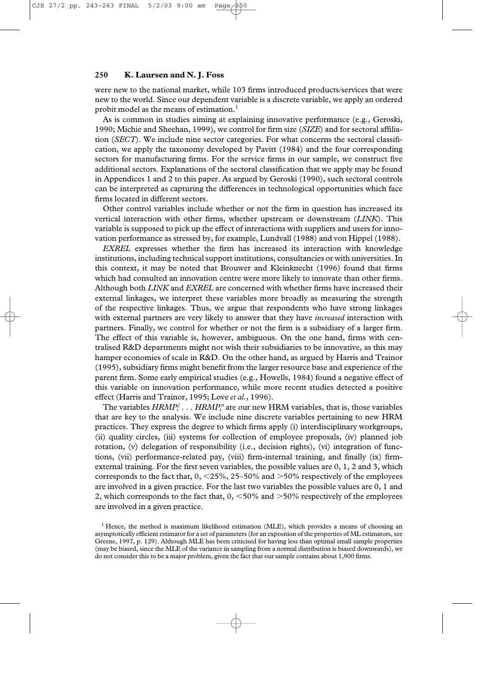were new to the national market, while 103 firms introduced products/services that were new to the world. Since our dependent variable is a discrete variable, we apply an ordered probit model as the means of estimation. $<sup>1</sup>$ </sup>

As is common in studies aiming at explaining innovative performance (e.g., Geroski, 1990; Michie and Sheehan, 1999), we control for firm size (*SIZE*) and for sectoral affiliation (*SECT*). We include nine sector categories. For what concerns the sectoral classification, we apply the taxonomy developed by Pavitt (1984) and the four corresponding sectors for manufacturing firms. For the service firms in our sample, we construct five additional sectors. Explanations of the sectoral classification that we apply may be found in Appendices 1 and 2 to this paper. As argued by Geroski (1990), such sectoral controls can be interpreted as capturing the differences in technological opportunities which face firms located in different sectors.

Other control variables include whether or not the firm in question has increased its vertical interaction with other firms, whether upstream or downstream (*LINK*). This variable is supposed to pick up the effect of interactions with suppliers and users for innovation performance as stressed by, for example, Lundvall (1988) and von Hippel (1988).

*EXREL* expresses whether the firm has increased its interaction with knowledge institutions, including technical support institutions, consultancies or with universities. In this context, it may be noted that Brouwer and Kleinknecht (1996) found that firms which had consulted an innovation centre were more likely to innovate than other firms. Although both *LINK* and *EXREL* are concerned with whether firms have increased their external linkages, we interpret these variables more broadly as measuring the strength of the respective linkages. Thus, we argue that respondents who have strong linkages with external partners are very likely to answer that they have *increased* interaction with partners. Finally, we control for whether or not the firm is a subsidiary of a larger firm. The effect of this variable is, however, ambiguous. On the one hand, firms with centralised R&D departments might not wish their subsidiaries to be innovative, as this may hamper economies of scale in R&D. On the other hand, as argued by Harris and Trainor (1995), subsidiary firms might benefit from the larger resource base and experience of the parent firm. Some early empirical studies (e.g., Howells, 1984) found a negative effect of this variable on innovation performance, while more recent studies detected a positive effect (Harris and Trainor, 1995; Love *et al.*, 1996).

The variables  $\mathit{HRMP}_i^j \ldots \mathit{HRMP}_i^n$  are our new HRM variables, that is, those variables that are key to the analysis. We include nine discrete variables pertaining to new HRM practices. They express the degree to which firms apply (i) interdisciplinary workgroups, (ii) quality circles, (iii) systems for collection of employee proposals, (iv) planned job rotation, (v) delegation of responsibility (i.e., decision rights), (vi) integration of functions, (vii) performance-related pay, (viii) firm-internal training, and finally (ix) firmexternal training. For the first seven variables, the possible values are 0, 1, 2 and 3, which corresponds to the fact that,  $0, \leq 25\%$ ,  $25-50\%$  and  $>50\%$  respectively of the employees are involved in a given practice. For the last two variables the possible values are 0, 1 and 2, which corresponds to the fact that,  $0, \leq 50\%$  and  $> 50\%$  respectively of the employees are involved in a given practice.

<sup>&</sup>lt;sup>1</sup> Hence, the method is maximum likelihood estimation (MLE), which provides a means of choosing an asymptotically efficient estimator for a set of parameters (for an exposition of the properties of ML estimators, see Greene, 1997, p. 129). Although MLE has been criticised for having less than optimal small sample properties (may be biased, since the MLE of the variance in sampling from a normal distribution is biased downwards), we do not consider this to be a major problem, given the fact that our sample contains about 1,900 firms.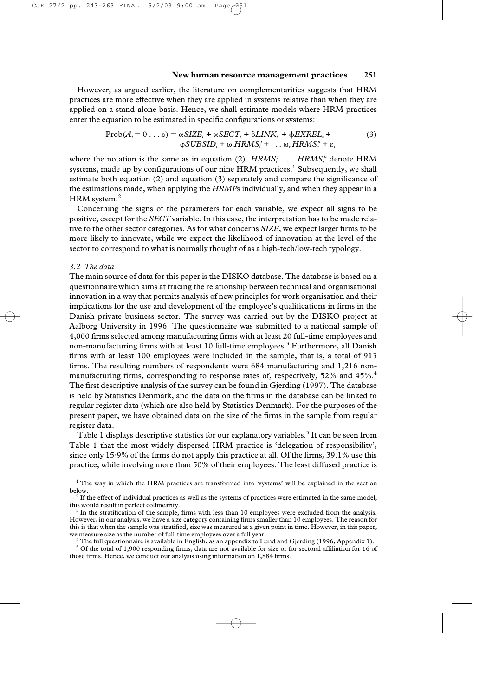However, as argued earlier, the literature on complementarities suggests that HRM practices are more effective when they are applied in systems relative than when they are applied on a stand-alone basis. Hence, we shall estimate models where HRM practices enter the equation to be estimated in specific configurations or systems:

$$
\text{Prob}(A_i = 0 \dots z) = \alpha \text{SIZE}_i + \alpha \text{SECT}_i + \delta \text{LINK}_i + \phi \text{EXREL}_i + \varphi \text{SUREL}_i + \varphi \text{SUBSID}_i + \omega_j \text{HRMS}_i^i + \dots \omega_n \text{HRMS}_i^n + \varepsilon_i
$$
\n(3)

where the notation is the same as in equation (2).  $HRMS_i^j$ ...  $HRMS_i^n$  denote HRM systems, made up by configurations of our nine  $HRM$  practices.<sup>1</sup> Subsequently, we shall estimate both equation (2) and equation (3) separately and compare the significance of the estimations made, when applying the *HRMP*s individually, and when they appear in a HRM system.<sup>2</sup>

Concerning the signs of the parameters for each variable, we expect all signs to be positive, except for the *SECT* variable. In this case, the interpretation has to be made relative to the other sector categories. As for what concerns *SIZE*, we expect larger firms to be more likely to innovate, while we expect the likelihood of innovation at the level of the sector to correspond to what is normally thought of as a high-tech/low-tech typology.

# *3.2 The data*

The main source of data for this paper is the DISKO database. The database is based on a questionnaire which aims at tracing the relationship between technical and organisational innovation in a way that permits analysis of new principles for work organisation and their implications for the use and development of the employee's qualifications in firms in the Danish private business sector. The survey was carried out by the DISKO project at Aalborg University in 1996. The questionnaire was submitted to a national sample of 4,000 firms selected among manufacturing firms with at least 20 full-time employees and non-manufacturing firms with at least 10 full-time employees.<sup>3</sup> Furthermore, all Danish firms with at least 100 employees were included in the sample, that is, a total of 913 firms. The resulting numbers of respondents were 684 manufacturing and 1,216 nonmanufacturing firms, corresponding to response rates of, respectively, 52% and 45%.<sup>4</sup> The first descriptive analysis of the survey can be found in Gjerding (1997). The database is held by Statistics Denmark, and the data on the firms in the database can be linked to regular register data (which are also held by Statistics Denmark). For the purposes of the present paper, we have obtained data on the size of the firms in the sample from regular register data.

Table 1 displays descriptive statistics for our explanatory variables.<sup>5</sup> It can be seen from Table 1 that the most widely dispersed HRM practice is 'delegation of responsibility', since only 15·9% of the firms do not apply this practice at all. Of the firms, 39.1% use this practice, while involving more than 50% of their employees. The least diffused practice is

 $1$ <sup>1</sup> The way in which the HRM practices are transformed into 'systems' will be explained in the section below.

 $b<sup>2</sup>$  If the effect of individual practices as well as the systems of practices were estimated in the same model, this would result in perfect collinearity.<br><sup>3</sup> In the stratification of the sample, firms with less than 10 employees were excluded from the analysis.

However, in our analysis, we have a size category containing firms smaller than 10 employees. The reason for this is that when the sample was stratified, size was measured at a given point in time. However, in this paper, we measure size as the number of full-time employees over a full year.<br><sup>4</sup> The full questionnaire is available in English, as an appendix to Lund and Gjerding (1996, Appendix 1).

<sup>5</sup> Of the total of 1,900 responding firms, data are not available for size or for sectoral affiliation for 16 of those firms. Hence, we conduct our analysis using information on 1,884 firms.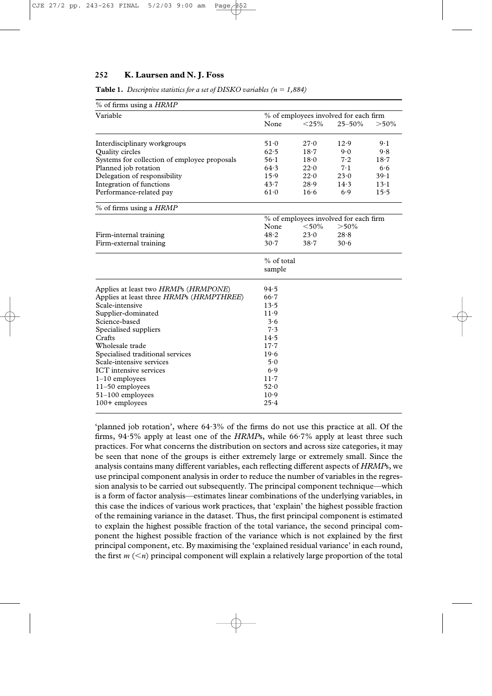| None       | $<$ 25%          | $25 - 50%$  | $> 50\%$                                                                       |
|------------|------------------|-------------|--------------------------------------------------------------------------------|
| 51.0       | 27.0             | 12.9        | 9-1                                                                            |
| 62.5       | 18.7             | 9.0         | 9.8                                                                            |
| 56.1       | 18.0             | 7.2         | 18.7                                                                           |
| 64.3       | 22.0             | $7 \cdot 1$ | 6.6                                                                            |
| 15.9       | 22.0             | 23.0        | 39.1                                                                           |
| 43.7       | 28.9             | 14.3        | $13-1$                                                                         |
| 61.0       | 16.6             | 6.9         | 15.5                                                                           |
|            |                  |             |                                                                                |
|            |                  |             |                                                                                |
| None       | $<$ 50%          | $>50\%$     |                                                                                |
| 48.2       | 23.0             | 28.8        |                                                                                |
| 30.7       | $38 - 7$         | 30.6        |                                                                                |
| % of total |                  |             |                                                                                |
|            |                  |             |                                                                                |
| 94.5       |                  |             |                                                                                |
| $66 - 7$   |                  |             |                                                                                |
| 13.5       |                  |             |                                                                                |
| $11-9$     |                  |             |                                                                                |
| 3.6        |                  |             |                                                                                |
| 7.3        |                  |             |                                                                                |
| 14.5       |                  |             |                                                                                |
| $17 - 7$   |                  |             |                                                                                |
| 19.6       |                  |             |                                                                                |
| 5.0        |                  |             |                                                                                |
| 6.9        |                  |             |                                                                                |
| $11 - 7$   |                  |             |                                                                                |
| 52.0       |                  |             |                                                                                |
|            |                  |             |                                                                                |
| 25.4       |                  |             |                                                                                |
|            | sample<br>$10-9$ |             | % of employees involved for each firm<br>% of employees involved for each firm |

**Table 1.** *Descriptive statistics for a set of DISKO variables (* $n = 1,884$ *)* 

'planned job rotation', where 64·3% of the firms do not use this practice at all. Of the firms, 94·5% apply at least one of the *HRMP*s, while 66·7% apply at least three such practices. For what concerns the distribution on sectors and across size categories, it may be seen that none of the groups is either extremely large or extremely small. Since the analysis contains many different variables, each reflecting different aspects of *HRMP*s, we use principal component analysis in order to reduce the number of variables in the regression analysis to be carried out subsequently. The principal component technique—which is a form of factor analysis—estimates linear combinations of the underlying variables, in this case the indices of various work practices, that 'explain' the highest possible fraction of the remaining variance in the dataset. Thus, the first principal component is estimated to explain the highest possible fraction of the total variance, the second principal component the highest possible fraction of the variance which is not explained by the first principal component, etc. By maximising the 'explained residual variance' in each round, the first  $m \leq n$ ) principal component will explain a relatively large proportion of the total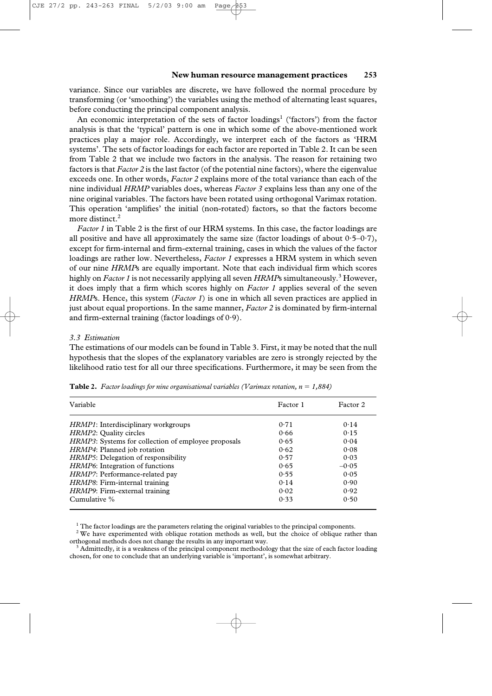variance. Since our variables are discrete, we have followed the normal procedure by transforming (or 'smoothing') the variables using the method of alternating least squares, before conducting the principal component analysis.

An economic interpretation of the sets of factor loadings<sup>1</sup> ('factors') from the factor analysis is that the 'typical' pattern is one in which some of the above-mentioned work practices play a major role. Accordingly, we interpret each of the factors as 'HRM systems'. The sets of factor loadings for each factor are reported in Table 2. It can be seen from Table 2 that we include two factors in the analysis. The reason for retaining two factors is that *Factor 2* is the last factor (of the potential nine factors), where the eigenvalue exceeds one. In other words, *Factor 2* explains more of the total variance than each of the nine individual *HRMP* variables does, whereas *Factor 3* explains less than any one of the nine original variables. The factors have been rotated using orthogonal Varimax rotation. This operation 'amplifies' the initial (non-rotated) factors, so that the factors become more distinct.<sup>2</sup>

*Factor 1* in Table 2 is the first of our HRM systems. In this case, the factor loadings are all positive and have all approximately the same size (factor loadings of about  $0.5-0.7$ ), except for firm-internal and firm-external training, cases in which the values of the factor loadings are rather low. Nevertheless, *Factor 1* expresses a HRM system in which seven of our nine *HRMP*s are equally important. Note that each individual firm which scores highly on *Factor 1* is not necessarily applying all seven *HRMP*s simultaneously.<sup>3</sup> However, it does imply that a firm which scores highly on *Factor 1* applies several of the seven *HRMP*s. Hence, this system (*Factor 1*) is one in which all seven practices are applied in just about equal proportions. In the same manner, *Factor 2* is dominated by firm-internal and firm-external training (factor loadings of  $0.9$ ).

#### *3.3 Estimation*

The estimations of our models can be found in Table 3. First, it may be noted that the null hypothesis that the slopes of the explanatory variables are zero is strongly rejected by the likelihood ratio test for all our three specifications. Furthermore, it may be seen from the

| Variable                                                    | Factor 1 | Factor 2 |
|-------------------------------------------------------------|----------|----------|
| <i>HRMP1</i> : Interdisciplinary workgroups                 | 0.71     | 0.14     |
| HRMP2: Quality circles                                      | 0.66     | 0.15     |
| <i>HRMP3</i> : Systems for collection of employee proposals | 0.65     | 0.04     |
| HRMP4: Planned job rotation                                 | 0.62     | 0.08     |
| HRMP5: Delegation of responsibility                         | 0.57     | 0.03     |
| HRMP6: Integration of functions                             | 0.65     | $-0.05$  |
| HRMP7: Performance-related pay                              | 0.55     | 0.05     |
| HRMP8: Firm-internal training                               | 0.14     | 0.90     |
| HRMP9: Firm-external training                               | 0.02     | 0.92     |
| Cumulative %                                                | 0.33     | 0.50     |

**Table 2.** *Factor loadings for nine organisational variables (Varimax rotation,*  $n = 1,884$ *)* 

 $1$  The factor loadings are the parameters relating the original variables to the principal components.

 $2$  We have experimented with oblique rotation methods as well, but the choice of oblique rather than orthogonal methods does not change the results in any important way.

 $3$  Admittedly, it is a weakness of the principal component methodology that the size of each factor loading chosen, for one to conclude that an underlying variable is 'important', is somewhat arbitrary.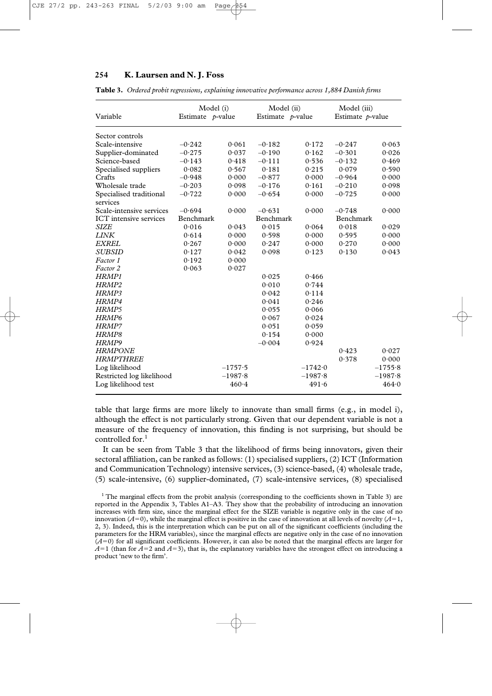|                               | Model (i)           |           | Model (ii)          |           | Model (iii)         |           |
|-------------------------------|---------------------|-----------|---------------------|-----------|---------------------|-----------|
| Variable                      | Estimate $p$ -value |           | Estimate $p$ -value |           | Estimate $p$ -value |           |
| Sector controls               |                     |           |                     |           |                     |           |
| Scale-intensive               | $-0.242$            | 0.061     | $-0.182$            | 0.172     | $-0.247$            | 0.063     |
| Supplier-dominated            | $-0.275$            | 0.037     | $-0.190$            | 0.162     | $-0.301$            | 0.026     |
| Science-based                 | $-0.143$            | 0.418     | $-0.111$            | 0.536     | $-0.132$            | 0.469     |
| Specialised suppliers         | 0.082               | 0.567     | 0.181               | 0.215     | 0.079               | 0.590     |
| Crafts                        | $-0.948$            | 0.000     | $-0.877$            | 0.000     | $-0.964$            | 0.000     |
| Wholesale trade               | $-0.203$            | 0.098     | $-0.176$            | 0.161     | $-0.210$            | 0.098     |
| Specialised traditional       | $-0.722$            | 0.000     | $-0.654$            | 0.000     | $-0.725$            | 0.000     |
| services                      |                     |           |                     |           |                     |           |
| Scale-intensive services      | $-0.694$            | 0.000     | $-0.631$            | 0.000     | $-0.748$            | 0.000     |
| <b>ICT</b> intensive services | Benchmark           |           | Benchmark           |           | Benchmark           |           |
| <b>SIZE</b>                   | 0.016               | 0.043     | 0.015               | 0.064     | 0.018               | 0.029     |
| <b>LINK</b>                   | 0.614               | 0.000     | 0.598               | 0.000     | 0.595               | 0.000     |
| <b>EXREL</b>                  | 0.267               | 0.000     | 0.247               | 0.000     | 0.270               | 0.000     |
| <b>SUBSID</b>                 | 0.127               | 0.042     | 0.098               | 0.123     | 0.130               | 0.043     |
| Factor 1                      | 0.192               | 0.000     |                     |           |                     |           |
| Factor 2                      | 0.063               | 0.027     |                     |           |                     |           |
| HRMP1                         |                     |           | 0.025               | 0.466     |                     |           |
| HRMP <sub>2</sub>             |                     |           | 0.010               | 0.744     |                     |           |
| HRMP3                         |                     |           | 0.042               | 0.114     |                     |           |
| HRMP4                         |                     |           | 0.041               | 0.246     |                     |           |
| HRMP5                         |                     |           | 0.055               | 0.066     |                     |           |
| HRMP6                         |                     |           | 0.067               | 0.024     |                     |           |
| HRMP7                         |                     |           | 0.051               | 0.059     |                     |           |
| HRMP8                         |                     |           | 0.154               | 0.000     |                     |           |
| HRMP9                         |                     |           | $-0.004$            | 0.924     |                     |           |
| <b>HRMPONE</b>                |                     |           |                     |           | 0.423               | 0.027     |
| <b>HRMPTHREE</b>              |                     |           |                     |           | 0.378               | 0.000     |
| Log likelihood                |                     | $-1757.5$ |                     | $-1742.0$ |                     | $-1755.8$ |
| Restricted log likelihood     |                     | $-1987.8$ |                     | $-1987.8$ |                     | $-1987.8$ |
| Log likelihood test           |                     | $460 - 4$ |                     | 491.6     |                     | 464.0     |

**Table 3.** *Ordered probit regressions, explaining innovative performance across 1,884 Danish firms*

table that large firms are more likely to innovate than small firms  $(e.g., in model i)$ , although the effect is not particularly strong. Given that our dependent variable is not a measure of the frequency of innovation, this finding is not surprising, but should be controlled for  $<sup>1</sup>$ </sup>

It can be seen from Table 3 that the likelihood of firms being innovators, given their sectoral affiliation, can be ranked as follows: (1) specialised suppliers, (2) ICT (Information and Communication Technology) intensive services, (3) science-based, (4) wholesale trade, (5) scale-intensive, (6) supplier-dominated, (7) scale-intensive services, (8) specialised

<sup>&</sup>lt;sup>1</sup> The marginal effects from the probit analysis (corresponding to the coefficients shown in Table 3) are reported in the Appendix 3, Tables A1–A3. They show that the probability of introducing an innovation increases with firm size, since the marginal effect for the SIZE variable is negative only in the case of no innovation  $(A=0)$ , while the marginal effect is positive in the case of innovation at all levels of novelty  $(A=1)$ , 2, 3). Indeed, this is the interpretation which can be put on all of the significant coefficients (including the parameters for the HRM variables), since the marginal effects are negative only in the case of no innovation  $(A=0)$  for all significant coefficients. However, it can also be noted that the marginal effects are larger for  $A=1$  (than for  $A=2$  and  $A=3$ ), that is, the explanatory variables have the strongest effect on introducing a product 'new to the firm'.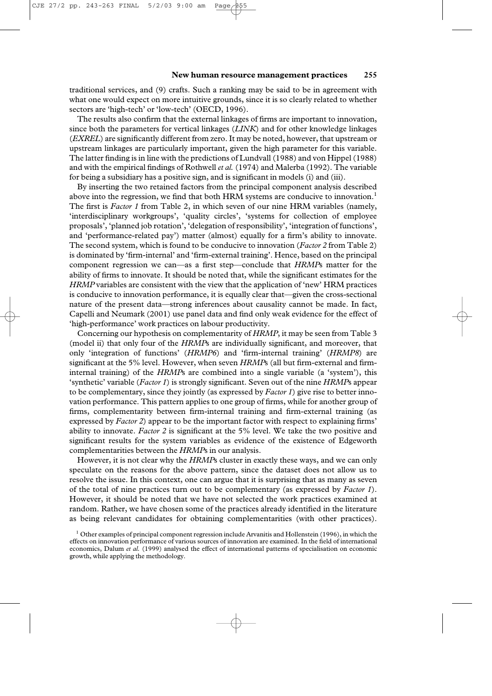traditional services, and (9) crafts. Such a ranking may be said to be in agreement with what one would expect on more intuitive grounds, since it is so clearly related to whether sectors are 'high-tech' or 'low-tech' (OECD, 1996).

The results also confirm that the external linkages of firms are important to innovation, since both the parameters for vertical linkages (*LINK*) and for other knowledge linkages (*EXREL*) are significantly different from zero. It may be noted, however, that upstream or upstream linkages are particularly important, given the high parameter for this variable. The latter finding is in line with the predictions of Lundvall (1988) and von Hippel (1988) and with the empirical findings of Rothwell *et al.* (1974) and Malerba (1992). The variable for being a subsidiary has a positive sign, and is significant in models (i) and (iii).

By inserting the two retained factors from the principal component analysis described above into the regression, we find that both HRM systems are conducive to innovation.<sup>1</sup> The first is *Factor 1* from Table 2, in which seven of our nine HRM variables (namely, 'interdisciplinary workgroups', 'quality circles', 'systems for collection of employee proposals', 'planned job rotation', 'delegation of responsibility', 'integration of functions', and 'performance-related pay') matter (almost) equally for a firm's ability to innovate. The second system, which is found to be conducive to innovation (*Factor 2* from Table 2) is dominated by 'firm-internal' and 'firm-external training'. Hence, based on the principal component regression we can—as a first step—conclude that *HRMP*s matter for the ability of firms to innovate. It should be noted that, while the significant estimates for the *HRMP* variables are consistent with the view that the application of 'new' HRM practices is conducive to innovation performance, it is equally clear that—given the cross-sectional nature of the present data—strong inferences about causality cannot be made. In fact, Capelli and Neumark (2001) use panel data and find only weak evidence for the effect of 'high-performance' work practices on labour productivity.

Concerning our hypothesis on complementarity of *HRMP*, it may be seen from Table 3 (model ii) that only four of the *HRMP*s are individually significant, and moreover, that only 'integration of functions' (*HRMP6*) and 'firm-internal training' (*HRMP8*) are significant at the 5% level. However, when seven *HRMP*s (all but firm-external and firminternal training) of the *HRMP*s are combined into a single variable (a 'system'), this 'synthetic' variable (*Factor 1*) is strongly significant. Seven out of the nine *HRMP*s appear to be complementary, since they jointly (as expressed by *Factor 1*) give rise to better innovation performance. This pattern applies to one group of firms, while for another group of firms, complementarity between firm-internal training and firm-external training (as expressed by *Factor 2*) appear to be the important factor with respect to explaining firms' ability to innovate. *Factor 2* is significant at the 5% level. We take the two positive and significant results for the system variables as evidence of the existence of Edgeworth complementarities between the *HRMP*s in our analysis.

However, it is not clear why the *HRMP*s cluster in exactly these ways, and we can only speculate on the reasons for the above pattern, since the dataset does not allow us to resolve the issue. In this context, one can argue that it is surprising that as many as seven of the total of nine practices turn out to be complementary (as expressed by *Factor 1*). However, it should be noted that we have not selected the work practices examined at random. Rather, we have chosen some of the practices already identified in the literature as being relevant candidates for obtaining complementarities (with other practices).

 $1$  Other examples of principal component regression include Arvanitis and Hollenstein (1996), in which the effects on innovation performance of various sources of innovation are examined. In the field of international economics, Dalum *et al.* (1999) analysed the effect of international patterns of specialisation on economic growth, while applying the methodology.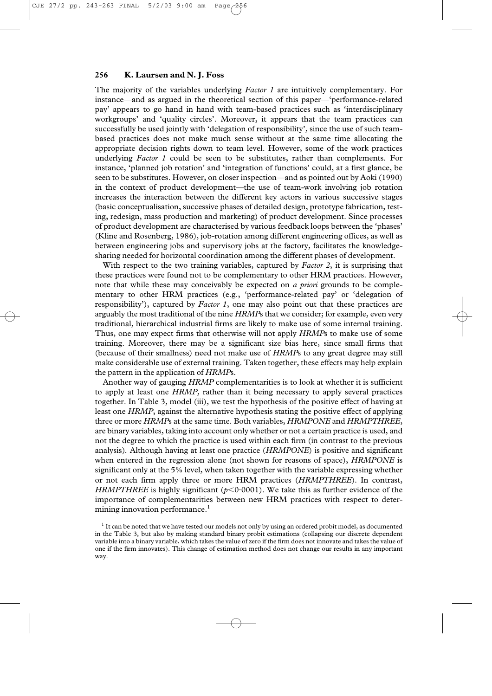The majority of the variables underlying *Factor 1* are intuitively complementary. For instance—and as argued in the theoretical section of this paper—'performance-related pay' appears to go hand in hand with team-based practices such as 'interdisciplinary workgroups' and 'quality circles'. Moreover, it appears that the team practices can successfully be used jointly with 'delegation of responsibility', since the use of such teambased practices does not make much sense without at the same time allocating the appropriate decision rights down to team level. However, some of the work practices underlying *Factor 1* could be seen to be substitutes, rather than complements. For instance, 'planned job rotation' and 'integration of functions' could, at a first glance, be seen to be substitutes. However, on closer inspection—and as pointed out by Aoki (1990) in the context of product development—the use of team-work involving job rotation increases the interaction between the different key actors in various successive stages (basic conceptualisation, successive phases of detailed design, prototype fabrication, testing, redesign, mass production and marketing) of product development. Since processes of product development are characterised by various feedback loops between the 'phases' (Kline and Rosenberg, 1986), job-rotation among different engineering offices, as well as between engineering jobs and supervisory jobs at the factory, facilitates the knowledgesharing needed for horizontal coordination among the different phases of development.

With respect to the two training variables, captured by *Factor 2*, it is surprising that these practices were found not to be complementary to other HRM practices. However, note that while these may conceivably be expected on *a priori* grounds to be complementary to other HRM practices (e.g., 'performance-related pay' or 'delegation of responsibility'), captured by *Factor 1*, one may also point out that these practices are arguably the most traditional of the nine *HRMP*s that we consider; for example, even very traditional, hierarchical industrial firms are likely to make use of some internal training. Thus, one may expect firms that otherwise will not apply *HRMP*s to make use of some training. Moreover, there may be a significant size bias here, since small firms that (because of their smallness) need not make use of *HRMP*s to any great degree may still make considerable use of external training. Taken together, these effects may help explain the pattern in the application of *HRMP*s.

Another way of gauging *HRMP* complementarities is to look at whether it is sufficient to apply at least one *HRMP*, rather than it being necessary to apply several practices together. In Table 3, model (iii), we test the hypothesis of the positive effect of having at least one *HRMP*, against the alternative hypothesis stating the positive effect of applying three or more *HRMP*s at the same time. Both variables, *HRMPONE* and *HRMPTHREE*, are binary variables, taking into account only whether or not a certain practice is used, and not the degree to which the practice is used within each firm (in contrast to the previous analysis)*.* Although having at least one practice (*HRMPONE*) is positive and significant when entered in the regression alone (not shown for reasons of space), *HRMPONE* is significant only at the 5% level, when taken together with the variable expressing whether or not each firm apply three or more HRM practices (*HRMPTHREE*). In contrast, *HRMPTHREE* is highly significant  $(p<0.0001)$ . We take this as further evidence of the importance of complementarities between new HRM practices with respect to determining innovation performance.<sup>1</sup>

<sup>&</sup>lt;sup>1</sup> It can be noted that we have tested our models not only by using an ordered probit model, as documented in the Table 3, but also by making standard binary probit estimations (collapsing our discrete dependent variable into a binary variable, which takes the value of zero if the firm does not innovate and takes the value of one if the firm innovates). This change of estimation method does not change our results in any important way.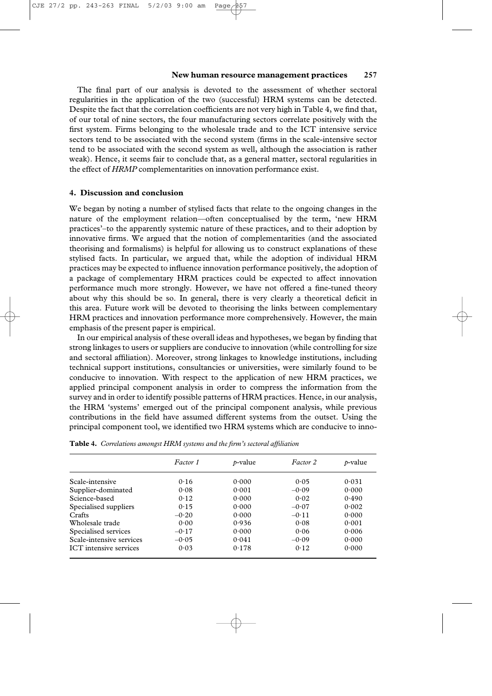The final part of our analysis is devoted to the assessment of whether sectoral regularities in the application of the two (successful) HRM systems can be detected. Despite the fact that the correlation coefficients are not very high in Table 4, we find that, of our total of nine sectors, the four manufacturing sectors correlate positively with the first system. Firms belonging to the wholesale trade and to the ICT intensive service sectors tend to be associated with the second system (firms in the scale-intensive sector tend to be associated with the second system as well, although the association is rather weak). Hence, it seems fair to conclude that, as a general matter, sectoral regularities in the effect of *HRMP* complementarities on innovation performance exist.

# **4. Discussion and conclusion**

We began by noting a number of stylised facts that relate to the ongoing changes in the nature of the employment relation—often conceptualised by the term, 'new HRM practices'–to the apparently systemic nature of these practices, and to their adoption by innovative firms. We argued that the notion of complementarities (and the associated theorising and formalisms) is helpful for allowing us to construct explanations of these stylised facts. In particular, we argued that, while the adoption of individual HRM practices may be expected to influence innovation performance positively, the adoption of a package of complementary HRM practices could be expected to affect innovation performance much more strongly. However, we have not offered a fine-tuned theory about why this should be so. In general, there is very clearly a theoretical deficit in this area. Future work will be devoted to theorising the links between complementary HRM practices and innovation performance more comprehensively. However, the main emphasis of the present paper is empirical.

In our empirical analysis of these overall ideas and hypotheses, we began by finding that strong linkages to users or suppliers are conducive to innovation (while controlling for size and sectoral affiliation). Moreover, strong linkages to knowledge institutions, including technical support institutions, consultancies or universities, were similarly found to be conducive to innovation. With respect to the application of new HRM practices, we applied principal component analysis in order to compress the information from the survey and in order to identify possible patterns of HRM practices. Hence, in our analysis, the HRM 'systems' emerged out of the principal component analysis, while previous contributions in the field have assumed different systems from the outset. Using the principal component tool, we identified two HRM systems which are conducive to inno-

|                               | Factor 1 | $p$ -value | Factor 2 | $p$ -value |
|-------------------------------|----------|------------|----------|------------|
| Scale-intensive               | 0.16     | 0.000      | 0.05     | 0.031      |
| Supplier-dominated            | 0.08     | 0.001      | $-0.09$  | 0.000      |
| Science-based                 | 0.12     | 0.000      | 0.02     | 0.490      |
| Specialised suppliers         | 0.15     | 0.000      | $-0.07$  | 0.002      |
| Crafts                        | $-0.20$  | 0.000      | $-0.11$  | 0.000      |
| Wholesale trade               | 0.00     | 0.936      | 0.08     | 0.001      |
| Specialised services          | $-0.17$  | 0.000      | 0.06     | 0.006      |
| Scale-intensive services      | $-0.05$  | 0.041      | $-0.09$  | 0.000      |
| <b>ICT</b> intensive services | 0.03     | 0.178      | 0.12     | 0.000      |

**Table 4.** *Correlations amongst HRM systems and the firm's sectoral affiliation*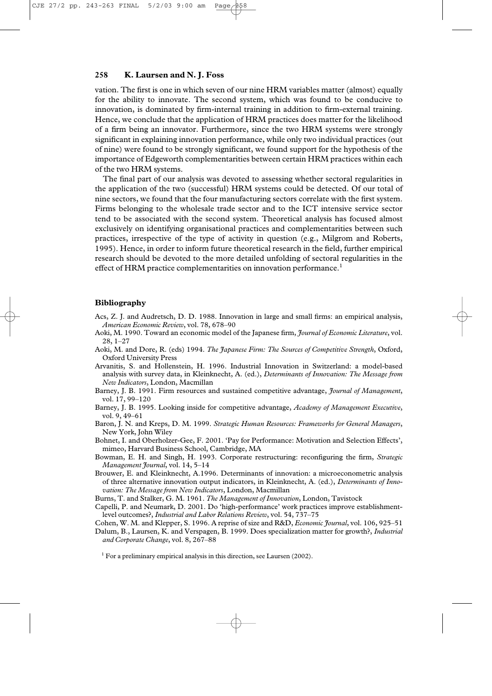vation. The first is one in which seven of our nine HRM variables matter (almost) equally for the ability to innovate. The second system, which was found to be conducive to innovation, is dominated by firm-internal training in addition to firm-external training. Hence, we conclude that the application of HRM practices does matter for the likelihood of a firm being an innovator. Furthermore, since the two HRM systems were strongly significant in explaining innovation performance, while only two individual practices (out of nine) were found to be strongly significant, we found support for the hypothesis of the importance of Edgeworth complementarities between certain HRM practices within each of the two HRM systems.

The final part of our analysis was devoted to assessing whether sectoral regularities in the application of the two (successful) HRM systems could be detected. Of our total of nine sectors, we found that the four manufacturing sectors correlate with the first system. Firms belonging to the wholesale trade sector and to the ICT intensive service sector tend to be associated with the second system. Theoretical analysis has focused almost exclusively on identifying organisational practices and complementarities between such practices, irrespective of the type of activity in question (e.g., Milgrom and Roberts, 1995). Hence, in order to inform future theoretical research in the field, further empirical research should be devoted to the more detailed unfolding of sectoral regularities in the effect of HRM practice complementarities on innovation performance.<sup>1</sup>

#### **Bibliography**

- Acs, Z. J. and Audretsch, D. D. 1988. Innovation in large and small firms: an empirical analysis, *American Economic Review*, vol. 78, 678–90
- Aoki, M. 1990. Toward an economic model of the Japanese firm, *Journal of Economic Literature*, vol. 28, 1–27
- Aoki, M. and Dore, R. (eds) 1994. *The Japanese Firm: The Sources of Competitive Strength*, Oxford, Oxford University Press
- Arvanitis, S. and Hollenstein, H. 1996. Industrial Innovation in Switzerland: a model-based analysis with survey data, in Kleinknecht, A. (ed.), *Determinants of Innovation: The Message from New Indicators*, London, Macmillan
- Barney, J. B. 1991. Firm resources and sustained competitive advantage, *Journal of Management*, vol. 17, 99–120
- Barney, J. B. 1995. Looking inside for competitive advantage, *Academy of Management Executive*, vol. 9, 49–61
- Baron, J. N. and Kreps, D. M. 1999. *Strategic Human Resources: Frameworks for General Managers*, New York, John Wiley
- Bohnet, I. and Oberholzer-Gee, F. 2001. 'Pay for Performance: Motivation and Selection Effects', mimeo, Harvard Business School, Cambridge, MA
- Bowman, E. H. and Singh, H. 1993. Corporate restructuring: reconfiguring the firm, *Strategic Management Journal*, vol. 14, 5–14
- Brouwer, E. and Kleinknecht, A.1996. Determinants of innovation: a microeconometric analysis of three alternative innovation output indicators, in Kleinknecht, A. (ed.), *Determinants of Innovation: The Message from New Indicators*, London, Macmillan
- Burns, T. and Stalker, G. M. 1961. *The Management of Innovation*, London, Tavistock
- Capelli, P. and Neumark, D. 2001. Do 'high-performance' work practices improve establishmentlevel outcomes?, *Industrial and Labor Relations Review*, vol. 54, 737–75
- Cohen, W. M. and Klepper, S. 1996. A reprise of size and R&D, *Economic Journal*, vol. 106, 925–51
- Dalum, B., Laursen, K. and Verspagen, B. 1999. Does specialization matter for growth?, *Industrial and Corporate Change*, vol. 8, 267–88

 $1$  For a preliminary empirical analysis in this direction, see Laursen (2002).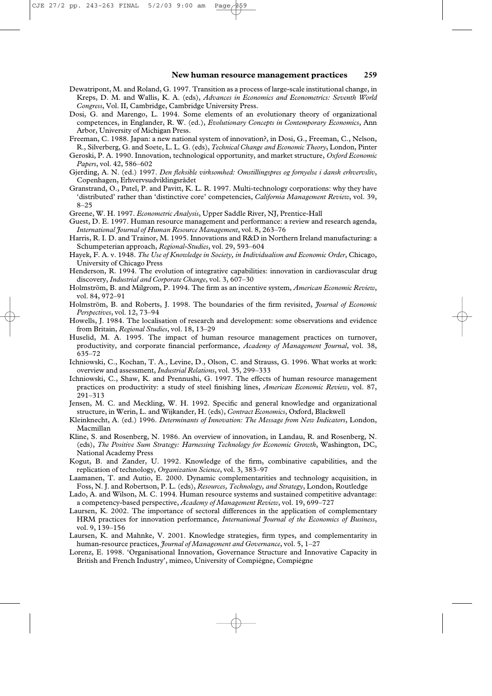- Dewatripont, M. and Roland, G. 1997. Transition as a process of large-scale institutional change, in Kreps, D. M. and Wallis, K. A. (eds), *Advances in Economics and Econometrics: Seventh World Congress*, Vol. II, Cambridge, Cambridge University Press.
- Dosi, G. and Marengo, L. 1994. Some elements of an evolutionary theory of organizational competences, in Englander, R. W. (ed.), *Evolutionary Concepts in Contemporary Economics*, Ann Arbor, University of Michigan Press.
- Freeman, C. 1988. Japan: a new national system of innovation?, in Dosi, G., Freeman, C., Nelson, R., Silverberg, G. and Soete, L. L. G. (eds), *Technical Change and Economic Theory*, London, Pinter
- Geroski, P. A. 1990. Innovation, technological opportunity, and market structure, *Oxford Economic Papers*, vol. 42, 586–602
- Gjerding, A. N. (ed.) 1997. *Den fleksible virksomhed: Omstillingspres og fornyelse i dansk erhvervsliv*, Copenhagen, Erhvervsudviklingsrådet
- Granstrand, O., Patel, P. and Pavitt, K. L. R. 1997. Multi-technology corporations: why they have 'distributed' rather than 'distinctive core' competencies, *California Management Review*, vol. 39, 8–25
- Greene, W. H. 1997. *Econometric Analysis*, Upper Saddle River, NJ, Prentice-Hall
- Guest, D. E. 1997. Human resource management and performance: a review and research agenda, *International Journal of Human Resource Management*, vol. 8, 263–76
- Harris, R. I. D. and Trainor, M. 1995. Innovations and R&D in Northern Ireland manufacturing: a Schumpeterian approach, *Regional-Studies*, vol. 29, 593–604
- Hayek, F. A. v. 1948. *The Use of Knowledge in Society, in Individualism and Economic Order*, Chicago, University of Chicago Press
- Henderson, R. 1994. The evolution of integrative capabilities: innovation in cardiovascular drug discovery, *Industrial and Corporate Change*, vol. 3, 607–30
- Holmström, B. and Milgrom, P. 1994. The firm as an incentive system, *American Economic Review*, vol. 84, 972–91
- Holmström, B. and Roberts, J. 1998. The boundaries of the firm revisited, *Journal of Economic Perspectives*, vol. 12, 73–94
- Howells, J. 1984. The localisation of research and development: some observations and evidence from Britain, *Regional Studies*, vol. 18, 13–29
- Huselid, M. A. 1995. The impact of human resource management practices on turnover, productivity, and corporate financial performance, *Academy of Management Journal*, vol. 38, 635–72
- Ichniowski, C., Kochan, T. A., Levine, D., Olson, C. and Strauss, G. 1996. What works at work: overview and assessment, *Industrial Relations*, vol. 35, 299–333
- Ichniowski, C., Shaw, K. and Prennushi, G. 1997. The effects of human resource management practices on productivity: a study of steel finishing lines, *American Economic Review*, vol. 87, 291–313
- Jensen, M. C. and Meckling, W. H. 1992. Specific and general knowledge and organizational structure, in Werin, L. and Wijkander, H. (eds), *Contract Economics*, Oxford, Blackwell
- Kleinknecht, A. (ed.) 1996. *Determinants of Innovation: The Message from New Indicators*, London, Macmillan
- Kline, S. and Rosenberg, N. 1986. An overview of innovation, in Landau, R. and Rosenberg, N. (eds), *The Positive Sum Strategy: Harnessing Technology for Economic Growth*, Washington, DC, National Academy Press
- Kogut, B. and Zander, U. 1992. Knowledge of the firm, combinative capabilities, and the replication of technology, *Organization Science*, vol. 3, 383–97
- Laamanen, T. and Autio, E. 2000. Dynamic complementarities and technology acquisition, in Foss, N. J. and Robertson, P. L. (eds), *Resources, Technology, and Strategy*, London, Routledge
- Lado, A. and Wilson, M. C. 1994. Human resource systems and sustained competitive advantage: a competency-based perspective, *Academy of Management Review*, vol. 19, 699–727
- Laursen, K. 2002. The importance of sectoral differences in the application of complementary HRM practices for innovation performance, *International Journal of the Economics of Business*, vol. 9, 139–156
- Laursen, K. and Mahnke, V. 2001. Knowledge strategies, firm types, and complementarity in human-resource practices, *Journal of Management and Governance*, vol. 5, 1–27
- Lorenz, E. 1998. 'Organisational Innovation, Governance Structure and Innovative Capacity in British and French Industry', mimeo, University of Compiégne, Compiégne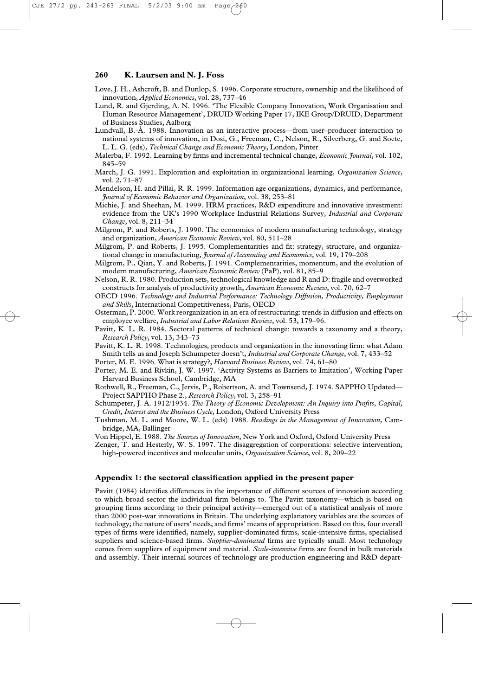- Love, J. H., Ashcroft, B. and Dunlop, S. 1996. Corporate structure, ownership and the likelihood of innovation, *Applied Economics*, vol. 28, 737–46
- Lund, R. and Gjerding, A. N. 1996. 'The Flexible Company Innovation, Work Organisation and Human Resource Management', DRUID Working Paper 17, IKE Group/DRUID, Department of Business Studies, Aalborg
- Lundvall, B.-Å. 1988. Innovation as an interactive process—from user–producer interaction to national systems of innovation, in Dosi, G., Freeman, C., Nelson, R., Silverberg, G. and Soete, L. L. G. (eds), *Technical Change and Economic Theory*, London, Pinter
- Malerba, F. 1992. Learning by firms and incremental technical change, *Economic Journal*, vol. 102, 845–59
- March, J. G. 1991. Exploration and exploitation in organizational learning, *Organization Science*, vol. 2, 71–87
- Mendelson, H. and Pillai, R. R. 1999. Information age organizations, dynamics, and performance, *Journal of Economic Behavior and Organization*, vol. 38, 253–81
- Michie, J. and Sheehan, M. 1999. HRM practices, R&D expenditure and innovative investment: evidence from the UK's 1990 Workplace Industrial Relations Survey, *Industrial and Corporate Change*, vol. 8, 211–34
- Milgrom, P. and Roberts, J. 1990. The economics of modern manufacturing technology, strategy and organization, *American Economic Review*, vol. 80, 511–28
- Milgrom, P. and Roberts, J. 1995. Complementarities and fit: strategy, structure, and organizational change in manufacturing, *Journal of Accounting and Economics*, vol. 19, 179–208
- Milgrom, P., Qian, Y. and Roberts, J. 1991. Complementarities, momentum, and the evolution of modern manufacturing, *American Economic Review* (PaP), vol. 81, 85–9
- Nelson, R. R. 1980. Production sets, technological knowledge and R and D: fragile and overworked constructs for analysis of productivity growth, *American Economic Review*, vol. 70, 62–7
- OECD 1996. *Technology and Industrial Performance: Technology Diffusion, Productivity, Employment and Skills*, International Competitiveness, Paris, OECD
- Osterman, P. 2000. Work reorganization in an era of restructuring: trends in diffusion and effects on employee welfare, *Industrial and Labor Relations Review*, vol. 53, 179–96.
- Pavitt, K. L. R. 1984. Sectoral patterns of technical change: towards a taxonomy and a theory, *Research Policy*, vol. 13, 343–73
- Pavitt, K. L. R. 1998. Technologies, products and organization in the innovating firm: what Adam Smith tells us and Joseph Schumpeter doesn't, *Industrial and Corporate Change*, vol. 7, 433–52
- Porter, M. E. 1996. What is strategy?, *Harvard Business Review*, vol. 74, 61–80
- Porter, M. E. and Rivkin, J. W. 1997. 'Activity Systems as Barriers to Imitation', Working Paper Harvard Business School, Cambridge, MA
- Rothwell, R., Freeman, C., Jervis, P., Robertson, A. and Townsend, J. 1974. SAPPHO Updated— Project SAPPHO Phase 2., *Research Policy*, vol. 3, 258–91
- Schumpeter, J. A. 1912/1934. *The Theory of Economic Development: An Inquiry into Profits, Capital, Credit, Interest and the Business Cycle*, London, Oxford University Press
- Tushman, M. L. and Moore, W. L. (eds) 1988. *Readings in the Management of Innovation*, Cambridge, MA, Ballinger
- Von Hippel, E. 1988. *The Sources of Innovation*, New York and Oxford, Oxford University Press
- Zenger, T. and Hesterly, W. S. 1997. The disaggregation of corporations: selective intervention, high-powered incentives and molecular units, *Organization Science*, vol. 8, 209–22

#### **Appendix 1: the sectoral classification applied in the present paper**

Pavitt (1984) identifies differences in the importance of different sources of innovation according to which broad sector the individual firm belongs to. The Pavitt taxonomy—which is based on grouping firms according to their principal activity—emerged out of a statistical analysis of more than 2000 post-war innovations in Britain. The underlying explanatory variables are the sources of technology; the nature of users' needs; and firms' means of appropriation. Based on this, four overall types of firms were identified, namely, supplier-dominated firms, scale-intensive firms, specialised suppliers and science-based firms. *Supplier-dominated* firms are typically small. Most technology comes from suppliers of equipment and material. *Scale-intensive* firms are found in bulk materials and assembly. Their internal sources of technology are production engineering and R&D depart-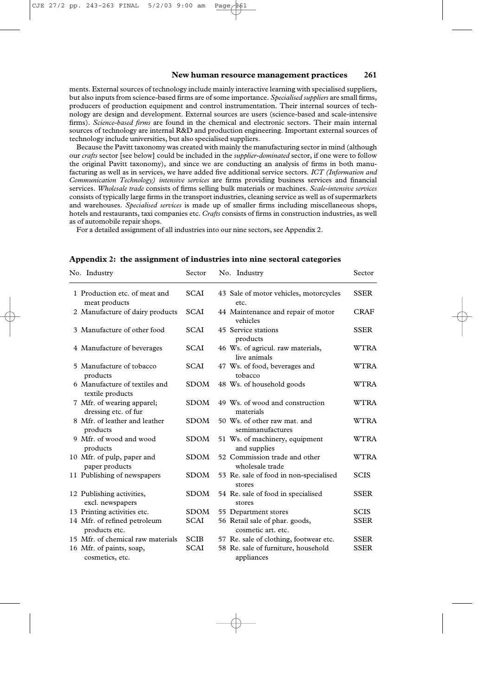ments. External sources of technology include mainly interactive learning with specialised suppliers, but also inputs from science-based firms are of some importance. *Specialised suppliers* are small firms, producers of production equipment and control instrumentation. Their internal sources of technology are design and development. External sources are users (science-based and scale-intensive firms). *Science-based firms* are found in the chemical and electronic sectors. Their main internal sources of technology are internal R&D and production engineering. Important external sources of technology include universities, but also specialised suppliers.

Because the Pavitt taxonomy was created with mainly the manufacturing sector in mind (although our *crafts* sector [see below] could be included in the *supplier-dominated* sector, if one were to follow the original Pavitt taxonomy), and since we are conducting an analysis of firms in both manufacturing as well as in services, we have added five additional service sectors. *ICT (Information and Communication Technology) intensive services* are firms providing business services and financial services. *Wholesale trade* consists of firms selling bulk materials or machines. *Scale-intensive services* consists of typically large firms in the transport industries, cleaning service as well as of supermarkets and warehouses. *Specialised services* is made up of smaller firms including miscellaneous shops, hotels and restaurants, taxi companies etc. *Crafts* consists of firms in construction industries, as well as of automobile repair shops.

For a detailed assignment of all industries into our nine sectors, see Appendix 2.

| No. Industry                                       | Sector      | No. Industry                                         | Sector      |
|----------------------------------------------------|-------------|------------------------------------------------------|-------------|
| 1 Production etc. of meat and<br>meat products     | <b>SCAI</b> | 43 Sale of motor vehicles, motorcycles<br>etc.       | <b>SSER</b> |
| 2 Manufacture of dairy products                    | <b>SCAI</b> | 44 Maintenance and repair of motor<br>vehicles       | <b>CRAF</b> |
| 3 Manufacture of other food                        | <b>SCAI</b> | 45 Service stations<br>products                      | <b>SSER</b> |
| 4 Manufacture of beverages                         | <b>SCAI</b> | 46 Ws. of agricul. raw materials,<br>live animals    | <b>WTRA</b> |
| 5 Manufacture of tobacco<br>products               | <b>SCAI</b> | 47 Ws. of food, beverages and<br>tobacco             | <b>WTRA</b> |
| 6 Manufacture of textiles and<br>textile products  | SDOM.       | 48 Ws. of household goods                            | <b>WTRA</b> |
| 7 Mfr. of wearing apparel;<br>dressing etc. of fur | <b>SDOM</b> | 49 Ws. of wood and construction<br>materials         | <b>WTRA</b> |
| 8 Mfr. of leather and leather<br>products          | <b>SDOM</b> | 50 Ws. of other raw mat. and<br>semimanufactures     | <b>WTRA</b> |
| 9 Mfr. of wood and wood<br>products                | <b>SDOM</b> | 51 Ws. of machinery, equipment<br>and supplies       | <b>WTRA</b> |
| 10 Mfr. of pulp, paper and<br>paper products       | <b>SDOM</b> | 52 Commission trade and other<br>wholesale trade     | <b>WTRA</b> |
| 11 Publishing of newspapers                        | SDOM        | 53 Re. sale of food in non-specialised<br>stores     | <b>SCIS</b> |
| 12 Publishing activities,<br>excl. newspapers      | <b>SDOM</b> | 54 Re. sale of food in specialised<br>stores         | <b>SSER</b> |
| 13 Printing activities etc.                        | <b>SDOM</b> | 55 Department stores                                 | <b>SCIS</b> |
| 14 Mfr. of refined petroleum<br>products etc.      | <b>SCAI</b> | 56 Retail sale of phar. goods,<br>cosmetic art. etc. | <b>SSER</b> |
| 15 Mfr. of chemical raw materials                  | <b>SCIB</b> | 57 Re. sale of clothing, footwear etc.               | <b>SSER</b> |
| 16 Mfr. of paints, soap,<br>cosmetics, etc.        | <b>SCAI</b> | 58 Re. sale of furniture, household<br>appliances    | <b>SSER</b> |

# **Appendix 2: the assignment of industries into nine sectoral categories**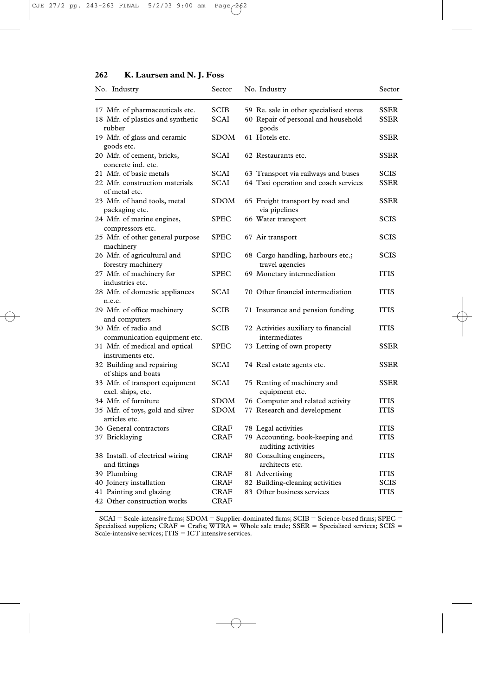| No. Industry                                           | Sector                     | No. Industry                                           | Sector      |
|--------------------------------------------------------|----------------------------|--------------------------------------------------------|-------------|
| 17 Mfr. of pharmaceuticals etc.                        | <b>SCIB</b>                | 59 Re. sale in other specialised stores                | SSER        |
| 18 Mfr. of plastics and synthetic<br>rubber            | <b>SCAI</b>                | 60 Repair of personal and household<br>goods           | <b>SSER</b> |
| 19 Mfr. of glass and ceramic<br>goods etc.             | <b>SDOM</b>                | 61 Hotels etc.                                         | <b>SSER</b> |
| 20 Mfr. of cement, bricks,<br>concrete ind. etc.       | <b>SCAI</b>                | 62 Restaurants etc.                                    | <b>SSER</b> |
| 21 Mfr. of basic metals                                | <b>SCAI</b>                | 63 Transport via railways and buses                    | <b>SCIS</b> |
| 22 Mfr. construction materials<br>of metal etc.        | <b>SCAI</b>                | 64 Taxi operation and coach services                   | <b>SSER</b> |
| 23 Mfr. of hand tools, metal<br>packaging etc.         | <b>SDOM</b>                | 65 Freight transport by road and<br>via pipelines      | SSER        |
| 24 Mfr. of marine engines,<br>compressors etc.         | <b>SPEC</b>                | 66 Water transport                                     | <b>SCIS</b> |
| 25 Mfr. of other general purpose<br>machinery          | <b>SPEC</b>                | 67 Air transport                                       | <b>SCIS</b> |
| 26 Mfr. of agricultural and<br>forestry machinery      | <b>SPEC</b>                | 68 Cargo handling, harbours etc.;<br>travel agencies   | <b>SCIS</b> |
| 27 Mfr. of machinery for<br>industries etc.            | <b>SPEC</b>                | 69 Monetary intermediation                             | <b>ITIS</b> |
| 28 Mfr. of domestic appliances<br>n.e.c.               | <b>SCAI</b>                | 70 Other financial intermediation                      | <b>TTIS</b> |
| 29 Mfr. of office machinery<br>and computers           | <b>SCIB</b>                | 71 Insurance and pension funding                       | <b>ITIS</b> |
| 30 Mfr. of radio and<br>communication equipment etc.   | <b>SCIB</b>                | 72 Activities auxiliary to financial<br>intermediates  | <b>ITIS</b> |
| 31 Mfr. of medical and optical<br>instruments etc.     | <b>SPEC</b>                | 73 Letting of own property                             | <b>SSER</b> |
| 32 Building and repairing<br>of ships and boats        | <b>SCAI</b>                | 74 Real estate agents etc.                             | SSER        |
| 33 Mfr. of transport equipment<br>excl. ships, etc.    | <b>SCAI</b>                | 75 Renting of machinery and<br>equipment etc.          | <b>SSER</b> |
| 34 Mfr. of furniture                                   | <b>SDOM</b>                | 76 Computer and related activity                       | <b>ITIS</b> |
| 35 Mfr. of toys, gold and silver<br>articles etc.      | <b>SDOM</b>                | 77 Research and development                            | <b>ITIS</b> |
| 36 General contractors                                 | <b>CRAF</b>                | 78 Legal activities                                    | <b>ITIS</b> |
| 37 Bricklaying                                         | <b>CRAF</b>                | 79 Accounting, book-keeping and<br>auditing activities | <b>ITIS</b> |
| 38 Install. of electrical wiring<br>and fittings       | <b>CRAF</b>                | 80 Consulting engineers,<br>architects etc.            | <b>ITIS</b> |
| 39 Plumbing                                            | <b>CRAF</b>                | 81 Advertising                                         | <b>ITIS</b> |
| 40 Joinery installation                                | <b>CRAF</b>                | 82 Building-cleaning activities                        | <b>SCIS</b> |
| 41 Painting and glazing<br>42 Other construction works | <b>CRAF</b><br><b>CRAF</b> | 83 Other business services                             | <b>ITIS</b> |

 $SCAI = Scale-intensive firms; SDOM = Supplemented firms; SCIB = Science-based firms; SPEC =$ Specialised suppliers; CRAF = Crafts; WTRA = Whole sale trade; SSER = Specialised services; SCIS = Scale-intensive services;  $ITIS = ICT$  intensive services.